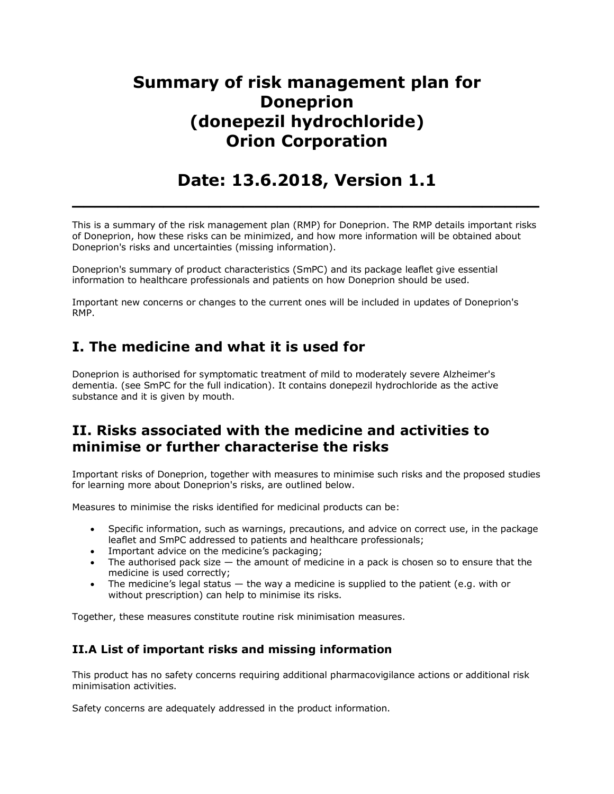# **Summary of risk management plan for Doneprion (donepezil hydrochloride) Orion Corporation**

# **Date: 13.6.2018, Version 1.1**

**\_\_\_\_\_\_\_\_\_\_\_\_\_\_\_\_\_\_\_\_\_\_\_\_\_\_\_\_\_\_\_\_\_\_\_\_\_\_\_\_\_**

This is a summary of the risk management plan (RMP) for Doneprion. The RMP details important risks of Doneprion, how these risks can be minimized, and how more information will be obtained about Doneprion's risks and uncertainties (missing information).

Doneprion's summary of product characteristics (SmPC) and its package leaflet give essential information to healthcare professionals and patients on how Doneprion should be used.

Important new concerns or changes to the current ones will be included in updates of Doneprion's RMP.

## **I. The medicine and what it is used for**

Doneprion is authorised for symptomatic treatment of mild to moderately severe Alzheimer's dementia. (see SmPC for the full indication). It contains donepezil hydrochloride as the active substance and it is given by mouth.

### **II. Risks associated with the medicine and activities to minimise or further characterise the risks**

Important risks of Doneprion, together with measures to minimise such risks and the proposed studies for learning more about Doneprion's risks, are outlined below.

Measures to minimise the risks identified for medicinal products can be:

- Specific information, such as warnings, precautions, and advice on correct use, in the package leaflet and SmPC addressed to patients and healthcare professionals;
- Important advice on the medicine's packaging;
- The authorised pack size  $-$  the amount of medicine in a pack is chosen so to ensure that the medicine is used correctly;
- The medicine's legal status the way a medicine is supplied to the patient (e.g. with or without prescription) can help to minimise its risks.

Together, these measures constitute routine risk minimisation measures.

#### **II.A List of important risks and missing information**

This product has no safety concerns requiring additional pharmacovigilance actions or additional risk minimisation activities.

Safety concerns are adequately addressed in the product information.